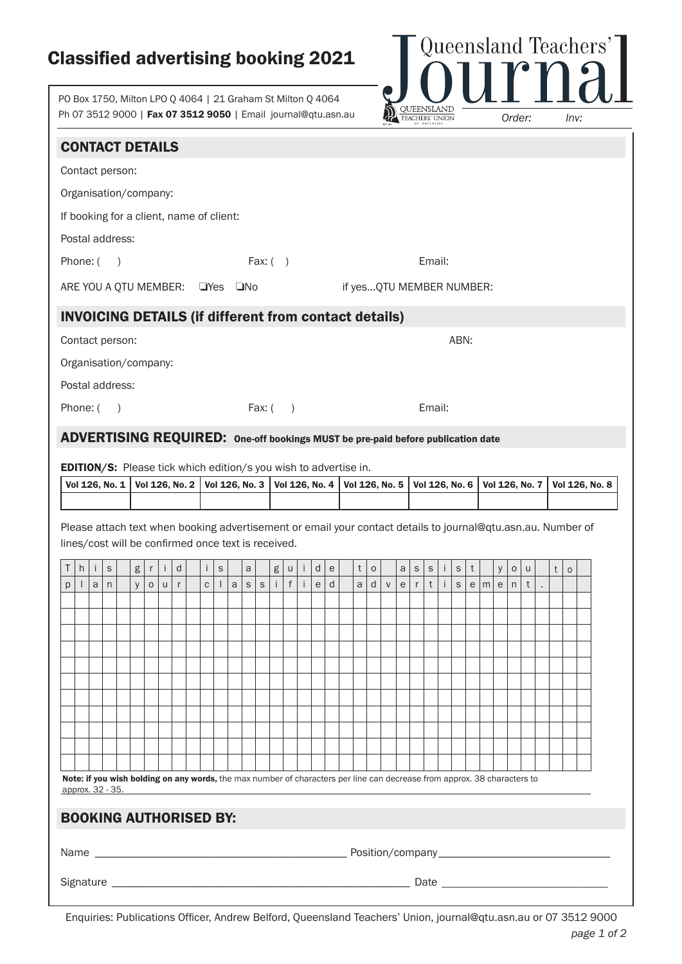## Classified advertising booking 2021

PO Box 1750, Milton LPO Q 4064 | 21 Graham St Milton Q 4064 Ph 07 3512 9000 | Fax 07 3512 9050 | Email journal@qtu.asn.au



|        | <b>CONTACT DETAILS</b>                                                                                                                       |                             |                                               |         |                  |         |                  |                  |             |              |                             |                |            |                  |        |                                                 |                      |                          |                          |           |        |                             |                            |        |                            |   |            |        |                   |                   |   |             |                |
|--------|----------------------------------------------------------------------------------------------------------------------------------------------|-----------------------------|-----------------------------------------------|---------|------------------|---------|------------------|------------------|-------------|--------------|-----------------------------|----------------|------------|------------------|--------|-------------------------------------------------|----------------------|--------------------------|--------------------------|-----------|--------|-----------------------------|----------------------------|--------|----------------------------|---|------------|--------|-------------------|-------------------|---|-------------|----------------|
|        | Contact person:                                                                                                                              |                             |                                               |         |                  |         |                  |                  |             |              |                             |                |            |                  |        |                                                 |                      |                          |                          |           |        |                             |                            |        |                            |   |            |        |                   |                   |   |             |                |
|        | Organisation/company:                                                                                                                        |                             |                                               |         |                  |         |                  |                  |             |              |                             |                |            |                  |        |                                                 |                      |                          |                          |           |        |                             |                            |        |                            |   |            |        |                   |                   |   |             |                |
|        | If booking for a client, name of client:                                                                                                     |                             |                                               |         |                  |         |                  |                  |             |              |                             |                |            |                  |        |                                                 |                      |                          |                          |           |        |                             |                            |        |                            |   |            |        |                   |                   |   |             |                |
|        | Postal address:                                                                                                                              |                             |                                               |         |                  |         |                  |                  |             |              |                             |                |            |                  |        |                                                 |                      |                          |                          |           |        |                             |                            |        |                            |   |            |        |                   |                   |   |             |                |
|        | Phone: (                                                                                                                                     |                             | $\rightarrow$                                 |         |                  |         |                  |                  |             |              |                             |                | Fax: $( )$ |                  |        |                                                 |                      |                          |                          |           |        |                             | Email:                     |        |                            |   |            |        |                   |                   |   |             |                |
|        | ARE YOU A QTU MEMBER: UYes UNo                                                                                                               |                             |                                               |         |                  |         |                  |                  |             |              |                             |                |            |                  |        |                                                 |                      | if yesQTU MEMBER NUMBER: |                          |           |        |                             |                            |        |                            |   |            |        |                   |                   |   |             |                |
|        | <b>INVOICING DETAILS (if different from contact details)</b>                                                                                 |                             |                                               |         |                  |         |                  |                  |             |              |                             |                |            |                  |        |                                                 |                      |                          |                          |           |        |                             |                            |        |                            |   |            |        |                   |                   |   |             |                |
|        | Contact person:                                                                                                                              |                             |                                               |         |                  |         |                  |                  |             |              |                             |                |            |                  |        |                                                 |                      |                          |                          |           |        |                             |                            |        | ABN:                       |   |            |        |                   |                   |   |             |                |
|        | Organisation/company:                                                                                                                        |                             |                                               |         |                  |         |                  |                  |             |              |                             |                |            |                  |        |                                                 |                      |                          |                          |           |        |                             |                            |        |                            |   |            |        |                   |                   |   |             |                |
|        | Postal address:                                                                                                                              |                             |                                               |         |                  |         |                  |                  |             |              |                             |                |            |                  |        |                                                 |                      |                          |                          |           |        |                             |                            |        |                            |   |            |        |                   |                   |   |             |                |
|        | Phone: (                                                                                                                                     |                             | $\left( \begin{array}{c} \end{array} \right)$ |         |                  |         |                  |                  |             |              |                             |                | Fax: $( )$ |                  |        |                                                 |                      |                          |                          |           |        |                             | Email:                     |        |                            |   |            |        |                   |                   |   |             |                |
|        | ADVERTISING REQUIRED: One-off bookings MUST be pre-paid before publication date                                                              |                             |                                               |         |                  |         |                  |                  |             |              |                             |                |            |                  |        |                                                 |                      |                          |                          |           |        |                             |                            |        |                            |   |            |        |                   |                   |   |             |                |
|        |                                                                                                                                              |                             |                                               |         |                  |         |                  |                  |             |              |                             |                |            |                  |        |                                                 |                      |                          |                          |           |        |                             |                            |        |                            |   |            |        |                   |                   |   |             |                |
|        | <b>EDITION/S:</b> Please tick which edition/s you wish to advertise in.                                                                      |                             |                                               |         |                  |         |                  |                  |             |              |                             |                |            |                  |        |                                                 |                      |                          |                          |           |        |                             |                            |        |                            |   |            |        |                   |                   |   |             |                |
|        | Vol 126, No. 1                                                                                                                               |                             |                                               |         |                  |         | Vol 126, No. 2   |                  |             |              |                             | Vol 126, No. 3 |            |                  |        | Vol 126, No. 4                                  |                      | Vol 126, No. 5           |                          |           |        |                             | Vol 126, No. 6             |        |                            |   |            |        |                   | Vol 126, No. 7    |   |             | Vol 126, No. 8 |
|        | Please attach text when booking advertisement or email your contact details to journal@qtu.asn.au. Number of                                 |                             |                                               |         |                  |         |                  |                  |             |              |                             |                |            |                  |        |                                                 |                      |                          |                          |           |        |                             |                            |        |                            |   |            |        |                   |                   |   |             |                |
|        | lines/cost will be confirmed once text is received.                                                                                          |                             |                                               |         |                  |         |                  |                  |             |              |                             |                |            |                  |        |                                                 |                      |                          |                          |           |        |                             |                            |        |                            |   |            |        |                   |                   |   |             |                |
|        | $\mathsf{h}$<br>Ť.<br>a                                                                                                                      | $\mathsf S$<br>$\mathsf{n}$ |                                               | $\sf g$ | r<br>$\mathsf O$ | j.<br>U | d<br>$\mathsf r$ | Ť<br>$\mathsf C$ | $\mathsf S$ | $\mathsf{a}$ | $\mathsf{a}$<br>$\mathsf S$ | $\mathsf S$    | g<br>j.    | u<br>$\mathsf f$ | Ť<br>Ť | d<br>$\mathsf{e}% _{t}\left( \mathsf{e}\right)$ | ${\rm e}$<br>$\sf d$ | t<br>a                   | $\mathsf{O}\xspace$<br>d | ${\sf V}$ | a<br>e | $\mathsf S$<br>$\mathsf{r}$ | $\mathsf S$<br>$\mathsf t$ | Ť<br>Ť | $\mathsf S$<br>$\mathsf S$ | t | $e \mid m$ | y<br>e | $\mathsf{o}$<br>n | u<br>$\mathsf{t}$ | t | $\mathsf O$ |                |
|        |                                                                                                                                              |                             |                                               | У       |                  |         |                  |                  |             |              |                             |                |            |                  |        |                                                 |                      |                          |                          |           |        |                             |                            |        |                            |   |            |        |                   |                   |   |             |                |
|        |                                                                                                                                              |                             |                                               |         |                  |         |                  |                  |             |              |                             |                |            |                  |        |                                                 |                      |                          |                          |           |        |                             |                            |        |                            |   |            |        |                   |                   |   |             |                |
|        |                                                                                                                                              |                             |                                               |         |                  |         |                  |                  |             |              |                             |                |            |                  |        |                                                 |                      |                          |                          |           |        |                             |                            |        |                            |   |            |        |                   |                   |   |             |                |
|        |                                                                                                                                              |                             |                                               |         |                  |         |                  |                  |             |              |                             |                |            |                  |        |                                                 |                      |                          |                          |           |        |                             |                            |        |                            |   |            |        |                   |                   |   |             |                |
|        |                                                                                                                                              |                             |                                               |         |                  |         |                  |                  |             |              |                             |                |            |                  |        |                                                 |                      |                          |                          |           |        |                             |                            |        |                            |   |            |        |                   |                   |   |             |                |
|        |                                                                                                                                              |                             |                                               |         |                  |         |                  |                  |             |              |                             |                |            |                  |        |                                                 |                      |                          |                          |           |        |                             |                            |        |                            |   |            |        |                   |                   |   |             |                |
|        |                                                                                                                                              |                             |                                               |         |                  |         |                  |                  |             |              |                             |                |            |                  |        |                                                 |                      |                          |                          |           |        |                             |                            |        |                            |   |            |        |                   |                   |   |             |                |
|        |                                                                                                                                              |                             |                                               |         |                  |         |                  |                  |             |              |                             |                |            |                  |        |                                                 |                      |                          |                          |           |        |                             |                            |        |                            |   |            |        |                   |                   |   |             |                |
|        | Note: if you wish bolding on any words, the max number of characters per line can decrease from approx. 38 characters to<br>approx. 32 - 35. |                             |                                               |         |                  |         |                  |                  |             |              |                             |                |            |                  |        |                                                 |                      |                          |                          |           |        |                             |                            |        |                            |   |            |        |                   |                   |   |             |                |
| Τ<br>р |                                                                                                                                              |                             |                                               |         |                  |         |                  |                  |             |              |                             |                |            |                  |        |                                                 |                      |                          |                          |           |        |                             |                            |        |                            |   |            |        |                   |                   |   |             |                |
|        | <b>BOOKING AUTHORISED BY:</b>                                                                                                                |                             |                                               |         |                  |         |                  |                  |             |              |                             |                |            |                  |        |                                                 |                      |                          |                          |           |        |                             |                            |        |                            |   |            |        |                   |                   |   |             |                |
|        |                                                                                                                                              |                             |                                               |         |                  |         |                  |                  |             |              |                             |                |            |                  |        |                                                 |                      |                          |                          |           |        |                             |                            |        |                            |   |            |        |                   |                   |   |             |                |

Enquiries: Publications Officer, Andrew Belford, Queensland Teachers' Union, journal@qtu.asn.au or 07 3512 9000